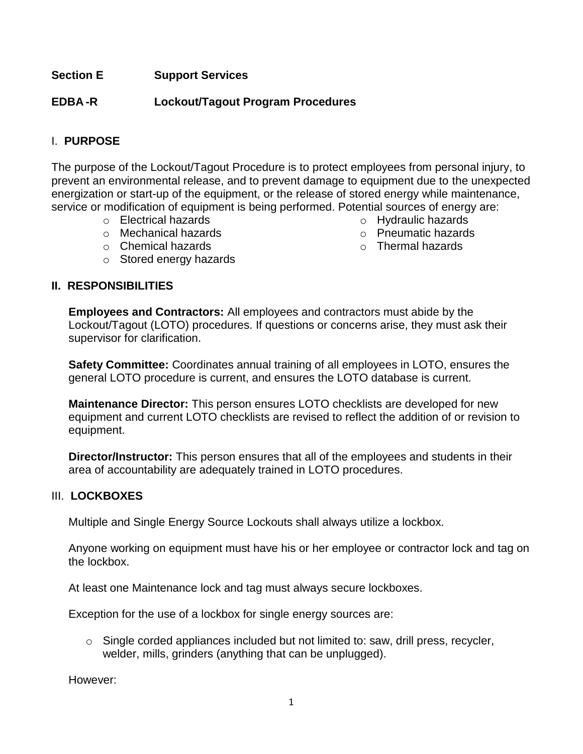### **Section E Support Services**

### **EDBA -R Lockout/Tagout Program Procedures**

# I. **PURPOSE**

The purpose of the Lockout/Tagout Procedure is to protect employees from personal injury, to prevent an environmental release, and to prevent damage to equipment due to the unexpected energization or start-up of the equipment, or the release of stored energy while maintenance, service or modification of equipment is being performed. Potential sources of energy are:

- o Electrical hazards
- o Mechanical hazards
- o Chemical hazards
- o Stored energy hazards

#### **II. RESPONSIBILITIES**

**Employees and Contractors:** All employees and contractors must abide by the Lockout/Tagout (LOTO) procedures. If questions or concerns arise, they must ask their supervisor for clarification.

**Safety Committee:** Coordinates annual training of all employees in LOTO, ensures the general LOTO procedure is current, and ensures the LOTO database is current.

**Maintenance Director:** This person ensures LOTO checklists are developed for new equipment and current LOTO checklists are revised to reflect the addition of or revision to equipment.

**Director/Instructor:** This person ensures that all of the employees and students in their area of accountability are adequately trained in LOTO procedures.

### III. **LOCKBOXES**

Multiple and Single Energy Source Lockouts shall always utilize a lockbox.

Anyone working on equipment must have his or her employee or contractor lock and tag on the lockbox.

At least one Maintenance lock and tag must always secure lockboxes.

Exception for the use of a lockbox for single energy sources are:

 $\circ$  Single corded appliances included but not limited to: saw, drill press, recycler, welder, mills, grinders (anything that can be unplugged).

However:

- o Hydraulic hazards
- o Pneumatic hazards
- o Thermal hazards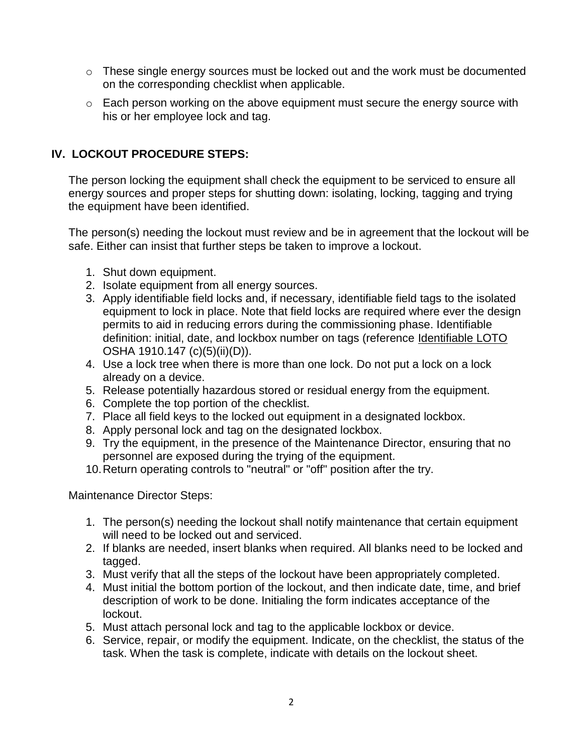- o These single energy sources must be locked out and the work must be documented on the corresponding checklist when applicable.
- o Each person working on the above equipment must secure the energy source with his or her employee lock and tag.

# **IV. LOCKOUT PROCEDURE STEPS:**

The person locking the equipment shall check the equipment to be serviced to ensure all energy sources and proper steps for shutting down: isolating, locking, tagging and trying the equipment have been identified.

The person(s) needing the lockout must review and be in agreement that the lockout will be safe. Either can insist that further steps be taken to improve a lockout.

- 1. Shut down equipment.
- 2. Isolate equipment from all energy sources.
- 3. Apply identifiable field locks and, if necessary, identifiable field tags to the isolated equipment to lock in place. Note that field locks are required where ever the design permits to aid in reducing errors during the commissioning phase. Identifiable definition: initial, date, and lockbox number on tags (reference Identifiable LOTO OSHA 1910.147 (c)(5)(ii)(D)).
- 4. Use a lock tree when there is more than one lock. Do not put a lock on a lock already on a device.
- 5. Release potentially hazardous stored or residual energy from the equipment.
- 6. Complete the top portion of the checklist.
- 7. Place all field keys to the locked out equipment in a designated lockbox.
- 8. Apply personal lock and tag on the designated lockbox.
- 9. Try the equipment, in the presence of the Maintenance Director, ensuring that no personnel are exposed during the trying of the equipment.
- 10.Return operating controls to "neutral" or "off" position after the try.

Maintenance Director Steps:

- 1. The person(s) needing the lockout shall notify maintenance that certain equipment will need to be locked out and serviced.
- 2. If blanks are needed, insert blanks when required. All blanks need to be locked and tagged.
- 3. Must verify that all the steps of the lockout have been appropriately completed.
- 4. Must initial the bottom portion of the lockout, and then indicate date, time, and brief description of work to be done. Initialing the form indicates acceptance of the lockout.
- 5. Must attach personal lock and tag to the applicable lockbox or device.
- 6. Service, repair, or modify the equipment. Indicate, on the checklist, the status of the task. When the task is complete, indicate with details on the lockout sheet.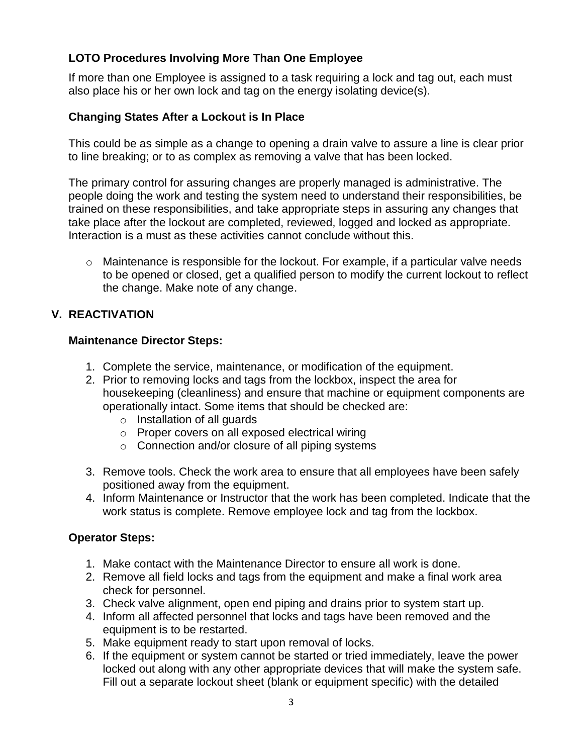# **LOTO Procedures Involving More Than One Employee**

If more than one Employee is assigned to a task requiring a lock and tag out, each must also place his or her own lock and tag on the energy isolating device(s).

### **Changing States After a Lockout is In Place**

This could be as simple as a change to opening a drain valve to assure a line is clear prior to line breaking; or to as complex as removing a valve that has been locked.

The primary control for assuring changes are properly managed is administrative. The people doing the work and testing the system need to understand their responsibilities, be trained on these responsibilities, and take appropriate steps in assuring any changes that take place after the lockout are completed, reviewed, logged and locked as appropriate. Interaction is a must as these activities cannot conclude without this.

o Maintenance is responsible for the lockout. For example, if a particular valve needs to be opened or closed, get a qualified person to modify the current lockout to reflect the change. Make note of any change.

# **V. REACTIVATION**

### **Maintenance Director Steps:**

- 1. Complete the service, maintenance, or modification of the equipment.
- 2. Prior to removing locks and tags from the lockbox, inspect the area for housekeeping (cleanliness) and ensure that machine or equipment components are operationally intact. Some items that should be checked are:
	- o Installation of all guards
	- o Proper covers on all exposed electrical wiring
	- o Connection and/or closure of all piping systems
- 3. Remove tools. Check the work area to ensure that all employees have been safely positioned away from the equipment.
- 4. Inform Maintenance or Instructor that the work has been completed. Indicate that the work status is complete. Remove employee lock and tag from the lockbox.

# **Operator Steps:**

- 1. Make contact with the Maintenance Director to ensure all work is done.
- 2. Remove all field locks and tags from the equipment and make a final work area check for personnel.
- 3. Check valve alignment, open end piping and drains prior to system start up.
- 4. Inform all affected personnel that locks and tags have been removed and the equipment is to be restarted.
- 5. Make equipment ready to start upon removal of locks.
- 6. If the equipment or system cannot be started or tried immediately, leave the power locked out along with any other appropriate devices that will make the system safe. Fill out a separate lockout sheet (blank or equipment specific) with the detailed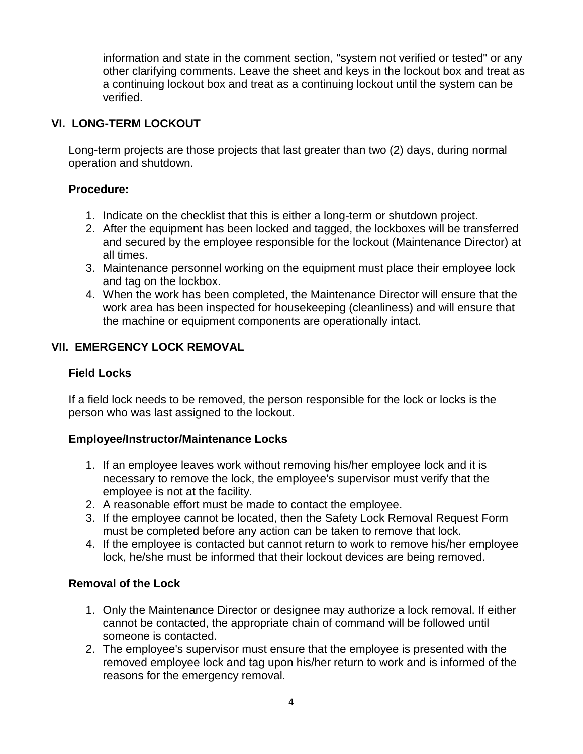information and state in the comment section, "system not verified or tested" or any other clarifying comments. Leave the sheet and keys in the lockout box and treat as a continuing lockout box and treat as a continuing lockout until the system can be verified.

# **VI. LONG-TERM LOCKOUT**

Long-term projects are those projects that last greater than two (2) days, during normal operation and shutdown.

#### **Procedure:**

- 1. Indicate on the checklist that this is either a long-term or shutdown project.
- 2. After the equipment has been locked and tagged, the lockboxes will be transferred and secured by the employee responsible for the lockout (Maintenance Director) at all times.
- 3. Maintenance personnel working on the equipment must place their employee lock and tag on the lockbox.
- 4. When the work has been completed, the Maintenance Director will ensure that the work area has been inspected for housekeeping (cleanliness) and will ensure that the machine or equipment components are operationally intact.

# **VII. EMERGENCY LOCK REMOVAL**

### **Field Locks**

If a field lock needs to be removed, the person responsible for the lock or locks is the person who was last assigned to the lockout.

### **Employee/Instructor/Maintenance Locks**

- 1. If an employee leaves work without removing his/her employee lock and it is necessary to remove the lock, the employee's supervisor must verify that the employee is not at the facility.
- 2. A reasonable effort must be made to contact the employee.
- 3. If the employee cannot be located, then the Safety Lock Removal Request Form must be completed before any action can be taken to remove that lock.
- 4. If the employee is contacted but cannot return to work to remove his/her employee lock, he/she must be informed that their lockout devices are being removed.

### **Removal of the Lock**

- 1. Only the Maintenance Director or designee may authorize a lock removal. If either cannot be contacted, the appropriate chain of command will be followed until someone is contacted.
- 2. The employee's supervisor must ensure that the employee is presented with the removed employee lock and tag upon his/her return to work and is informed of the reasons for the emergency removal.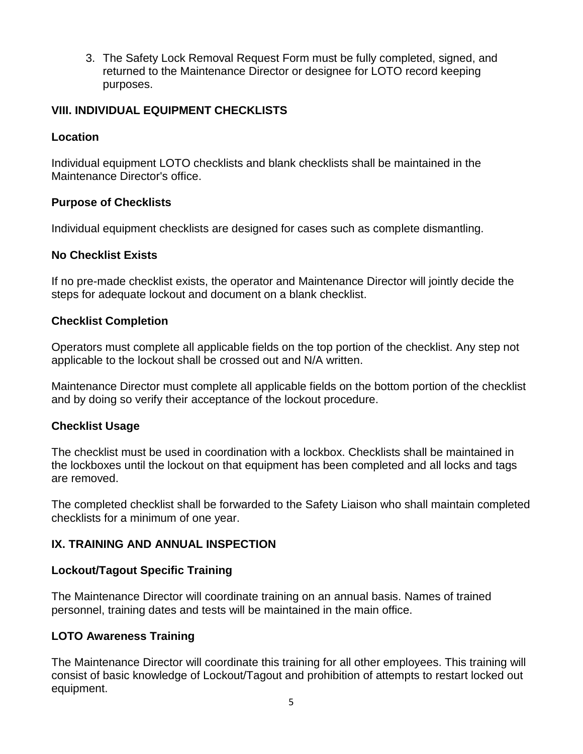3. The Safety Lock Removal Request Form must be fully completed, signed, and returned to the Maintenance Director or designee for LOTO record keeping purposes.

# **VIII. INDIVIDUAL EQUIPMENT CHECKLISTS**

### **Location**

Individual equipment LOTO checklists and blank checklists shall be maintained in the Maintenance Director's office.

## **Purpose of Checklists**

Individual equipment checklists are designed for cases such as complete dismantling.

### **No Checklist Exists**

If no pre-made checklist exists, the operator and Maintenance Director will jointly decide the steps for adequate lockout and document on a blank checklist.

## **Checklist Completion**

Operators must complete all applicable fields on the top portion of the checklist. Any step not applicable to the lockout shall be crossed out and N/A written.

Maintenance Director must complete all applicable fields on the bottom portion of the checklist and by doing so verify their acceptance of the lockout procedure.

### **Checklist Usage**

The checklist must be used in coordination with a lockbox. Checklists shall be maintained in the lockboxes until the lockout on that equipment has been completed and all locks and tags are removed.

The completed checklist shall be forwarded to the Safety Liaison who shall maintain completed checklists for a minimum of one year.

# **IX. TRAINING AND ANNUAL INSPECTION**

### **Lockout/Tagout Specific Training**

The Maintenance Director will coordinate training on an annual basis. Names of trained personnel, training dates and tests will be maintained in the main office.

### **LOTO Awareness Training**

The Maintenance Director will coordinate this training for all other employees. This training will consist of basic knowledge of Lockout/Tagout and prohibition of attempts to restart locked out equipment.